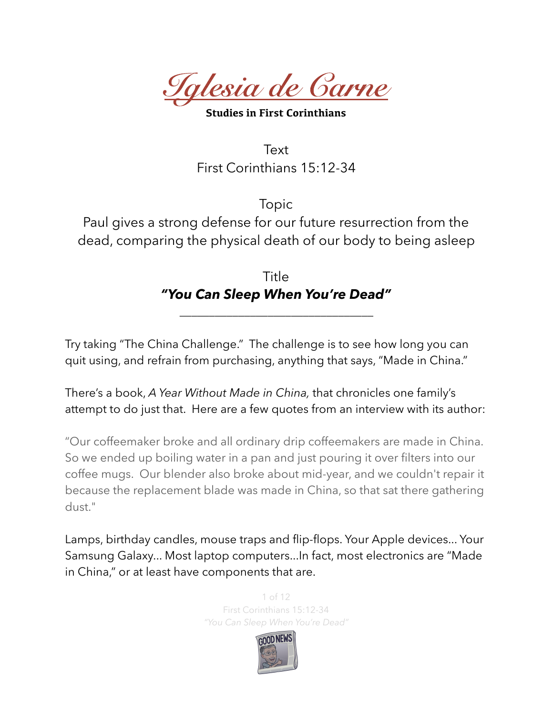*Iglesia de Carne* 

**Studies in First Corinthians** 

**Text** First Corinthians 15:12-34

Topic Paul gives a strong defense for our future resurrection from the dead, comparing the physical death of our body to being asleep

> Title *"You Can Sleep When You're Dead"*

*\_\_\_\_\_\_\_\_\_\_\_\_\_\_\_\_\_\_\_\_\_\_\_\_\_\_\_\_\_\_\_\_\_* 

Try taking "The China Challenge." The challenge is to see how long you can quit using, and refrain from purchasing, anything that says, "Made in China."

There's a book, *A Year Without Made in China,* that chronicles one family's attempt to do just that. Here are a few quotes from an interview with its author:

"Our coffeemaker broke and all ordinary drip coffeemakers are made in China. So we ended up boiling water in a pan and just pouring it over filters into our coffee mugs. Our blender also broke about mid-year, and we couldn't repair it because the replacement blade was made in China, so that sat there gathering dust."

Lamps, birthday candles, mouse traps and flip-flops. Your Apple devices... Your Samsung Galaxy... Most laptop computers...In fact, most electronics are "Made in China," or at least have components that are.

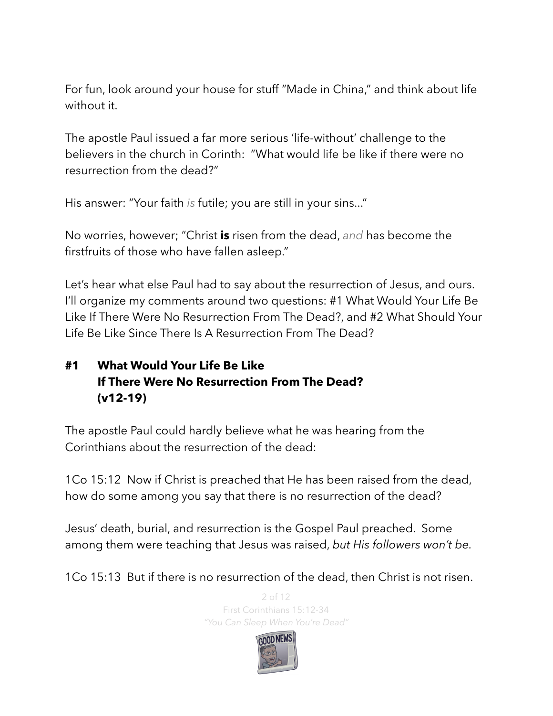For fun, look around your house for stuff "Made in China," and think about life without it.

The apostle Paul issued a far more serious 'life-without' challenge to the believers in the church in Corinth: "What would life be like if there were no resurrection from the dead?"

His answer: "Your faith *is* futile; you are still in your sins..."

No worries, however; "Christ **is** risen from the dead, *and* has become the firstfruits of those who have fallen asleep."

Let's hear what else Paul had to say about the resurrection of Jesus, and ours. I'll organize my comments around two questions: #1 What Would Your Life Be Like If There Were No Resurrection From The Dead?, and #2 What Should Your Life Be Like Since There Is A Resurrection From The Dead?

## **#1 What Would Your Life Be Like If There Were No Resurrection From The Dead? (v12-19)**

The apostle Paul could hardly believe what he was hearing from the Corinthians about the resurrection of the dead:

1Co 15:12 Now if Christ is preached that He has been raised from the dead, how do some among you say that there is no resurrection of the dead?

Jesus' death, burial, and resurrection is the Gospel Paul preached. Some among them were teaching that Jesus was raised, *but His followers won't be.* 

1Co 15:13 But if there is no resurrection of the dead, then Christ is not risen.

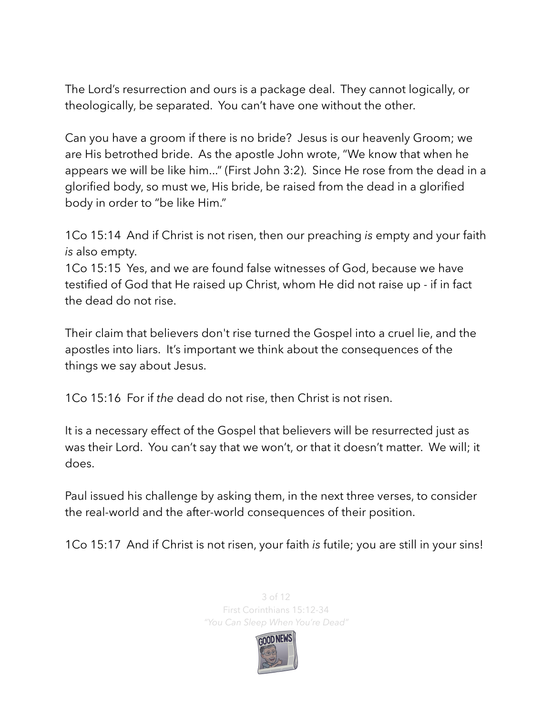The Lord's resurrection and ours is a package deal. They cannot logically, or theologically, be separated. You can't have one without the other.

Can you have a groom if there is no bride? Jesus is our heavenly Groom; we are His betrothed bride. As the apostle John wrote, "We know that when he appears we will be like him..." (First John 3:2). Since He rose from the dead in a glorified body, so must we, His bride, be raised from the dead in a glorified body in order to "be like Him."

1Co 15:14 And if Christ is not risen, then our preaching *is* empty and your faith *is* also empty.

1Co 15:15 Yes, and we are found false witnesses of God, because we have testified of God that He raised up Christ, whom He did not raise up - if in fact the dead do not rise.

Their claim that believers don't rise turned the Gospel into a cruel lie, and the apostles into liars. It's important we think about the consequences of the things we say about Jesus.

1Co 15:16 For if *the* dead do not rise, then Christ is not risen.

It is a necessary effect of the Gospel that believers will be resurrected just as was their Lord. You can't say that we won't, or that it doesn't matter. We will; it does.

Paul issued his challenge by asking them, in the next three verses, to consider the real-world and the after-world consequences of their position.

1Co 15:17 And if Christ is not risen, your faith *is* futile; you are still in your sins!



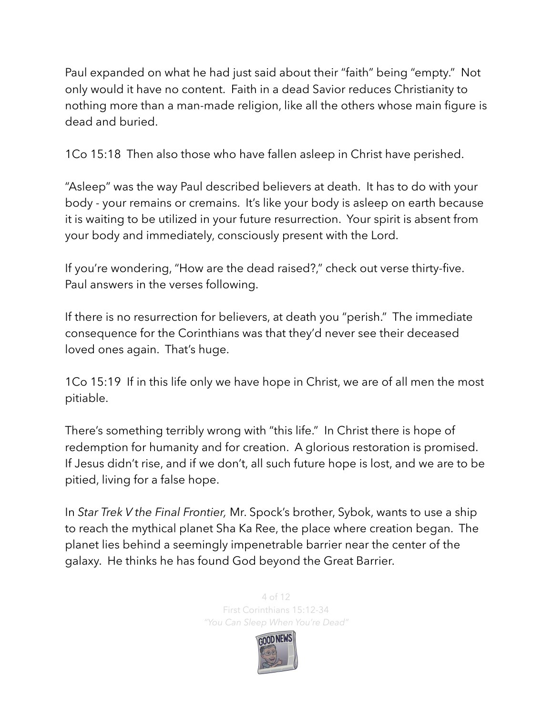Paul expanded on what he had just said about their "faith" being "empty." Not only would it have no content. Faith in a dead Savior reduces Christianity to nothing more than a man-made religion, like all the others whose main figure is dead and buried.

1Co 15:18 Then also those who have fallen asleep in Christ have perished.

"Asleep" was the way Paul described believers at death. It has to do with your body - your remains or cremains. It's like your body is asleep on earth because it is waiting to be utilized in your future resurrection. Your spirit is absent from your body and immediately, consciously present with the Lord.

If you're wondering, "How are the dead raised?," check out verse thirty-five. Paul answers in the verses following.

If there is no resurrection for believers, at death you "perish." The immediate consequence for the Corinthians was that they'd never see their deceased loved ones again. That's huge.

1Co 15:19 If in this life only we have hope in Christ, we are of all men the most pitiable.

There's something terribly wrong with "this life." In Christ there is hope of redemption for humanity and for creation. A glorious restoration is promised. If Jesus didn't rise, and if we don't, all such future hope is lost, and we are to be pitied, living for a false hope.

In *Star Trek V the Final Frontier,* Mr. Spock's brother, Sybok, wants to use a ship to reach the mythical planet Sha Ka Ree, the place where creation began. The planet lies behind a seemingly impenetrable barrier near the center of the galaxy. He thinks he has found God beyond the Great Barrier.

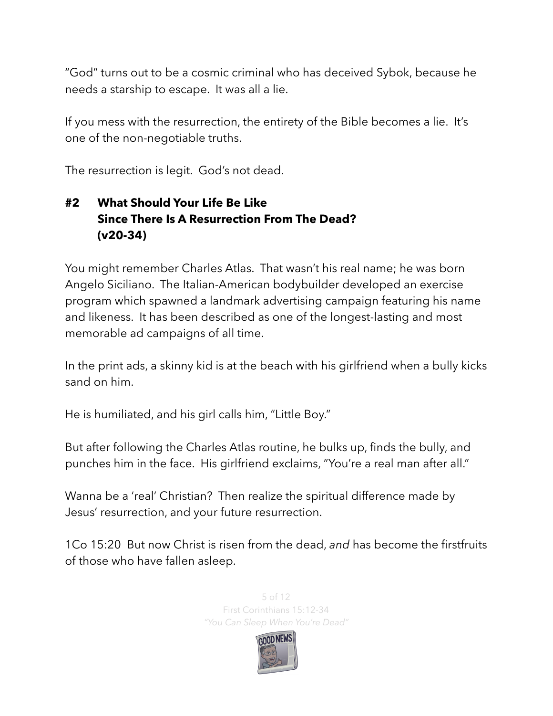"God" turns out to be a cosmic criminal who has deceived Sybok, because he needs a starship to escape. It was all a lie.

If you mess with the resurrection, the entirety of the Bible becomes a lie. It's one of the non-negotiable truths.

The resurrection is legit. God's not dead.

## **#2 What Should Your Life Be Like Since There Is A Resurrection From The Dead? (v20-34)**

You might remember Charles Atlas. That wasn't his real name; he was born Angelo Siciliano. The Italian-American bodybuilder developed an exercise program which spawned a landmark advertising campaign featuring his name and likeness. It has been described as one of the longest-lasting and most memorable ad campaigns of all time.

In the print ads, a skinny kid is at the beach with his girlfriend when a bully kicks sand on him.

He is humiliated, and his girl calls him, "Little Boy."

But after following the Charles Atlas routine, he bulks up, finds the bully, and punches him in the face. His girlfriend exclaims, "You're a real man after all."

Wanna be a 'real' Christian? Then realize the spiritual difference made by Jesus' resurrection, and your future resurrection.

1Co 15:20 But now Christ is risen from the dead, *and* has become the firstfruits of those who have fallen asleep.



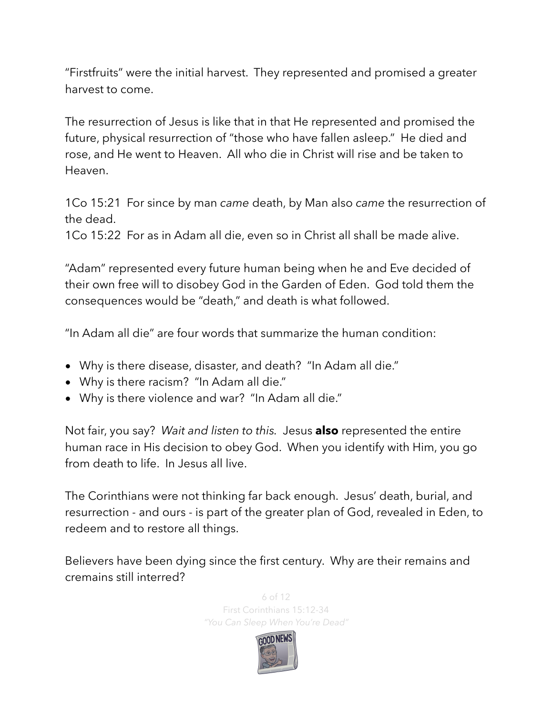"Firstfruits" were the initial harvest. They represented and promised a greater harvest to come.

The resurrection of Jesus is like that in that He represented and promised the future, physical resurrection of "those who have fallen asleep." He died and rose, and He went to Heaven. All who die in Christ will rise and be taken to Heaven.

1Co 15:21 For since by man *came* death, by Man also *came* the resurrection of the dead.

1Co 15:22 For as in Adam all die, even so in Christ all shall be made alive.

"Adam" represented every future human being when he and Eve decided of their own free will to disobey God in the Garden of Eden. God told them the consequences would be "death," and death is what followed.

"In Adam all die" are four words that summarize the human condition:

- Why is there disease, disaster, and death? "In Adam all die."
- Why is there racism? "In Adam all die."
- Why is there violence and war? "In Adam all die."

Not fair, you say? *Wait and listen to this.* Jesus **also** represented the entire human race in His decision to obey God. When you identify with Him, you go from death to life. In Jesus all live.

The Corinthians were not thinking far back enough. Jesus' death, burial, and resurrection - and ours - is part of the greater plan of God, revealed in Eden, to redeem and to restore all things.

Believers have been dying since the first century. Why are their remains and cremains still interred?



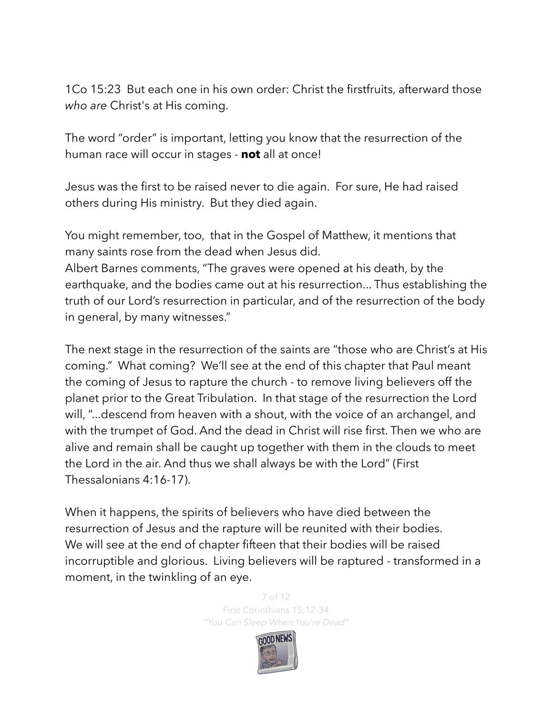1Co 15:23 But each one in his own order: Christ the firstfruits, afterward those *who are* Christ's at His coming.

The word "order" is important, letting you know that the resurrection of the human race will occur in stages - **not** all at once!

Jesus was the first to be raised never to die again. For sure, He had raised others during His ministry. But they died again.

You might remember, too, that in the Gospel of Matthew, it mentions that many saints rose from the dead when Jesus did.

Albert Barnes comments, "The graves were opened at his death, by the earthquake, and the bodies came out at his resurrection... Thus establishing the truth of our Lord's resurrection in particular, and of the resurrection of the body in general, by many witnesses."

The next stage in the resurrection of the saints are "those who are Christ's at His coming." What coming? We'll see at the end of this chapter that Paul meant the coming of Jesus to rapture the church - to remove living believers off the planet prior to the Great Tribulation. In that stage of the resurrection the Lord will, "...descend from heaven with a shout, with the voice of an archangel, and with the trumpet of God. And the dead in Christ will rise first. Then we who are alive and remain shall be caught up together with them in the clouds to meet the Lord in the air. And thus we shall always be with the Lord" (First Thessalonians 4:16-17).

When it happens, the spirits of believers who have died between the resurrection of Jesus and the rapture will be reunited with their bodies. We will see at the end of chapter fifteen that their bodies will be raised incorruptible and glorious. Living believers will be raptured - transformed in a moment, in the twinkling of an eye.

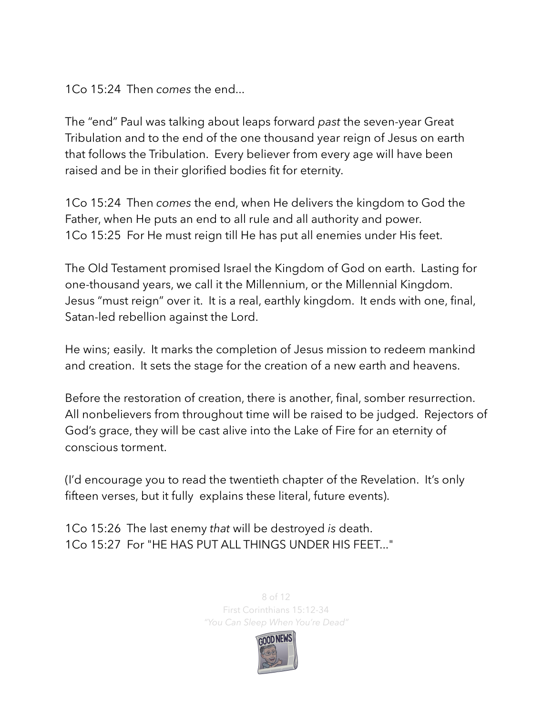1Co 15:24 Then *comes* the end...

The "end" Paul was talking about leaps forward *past* the seven-year Great Tribulation and to the end of the one thousand year reign of Jesus on earth that follows the Tribulation. Every believer from every age will have been raised and be in their glorified bodies fit for eternity.

1Co 15:24 Then *comes* the end, when He delivers the kingdom to God the Father, when He puts an end to all rule and all authority and power. 1Co 15:25 For He must reign till He has put all enemies under His feet.

The Old Testament promised Israel the Kingdom of God on earth. Lasting for one-thousand years, we call it the Millennium, or the Millennial Kingdom. Jesus "must reign" over it. It is a real, earthly kingdom. It ends with one, final, Satan-led rebellion against the Lord.

He wins; easily. It marks the completion of Jesus mission to redeem mankind and creation. It sets the stage for the creation of a new earth and heavens.

Before the restoration of creation, there is another, final, somber resurrection. All nonbelievers from throughout time will be raised to be judged. Rejectors of God's grace, they will be cast alive into the Lake of Fire for an eternity of conscious torment.

(I'd encourage you to read the twentieth chapter of the Revelation. It's only fifteen verses, but it fully explains these literal, future events).

1Co 15:26 The last enemy *that* will be destroyed *is* death. 1Co 15:27 For "HE HAS PUT ALL THINGS UNDER HIS FEET..."

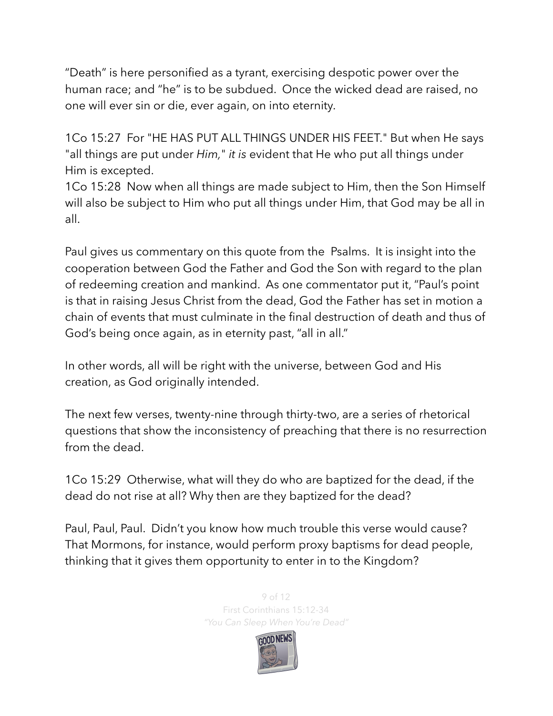"Death" is here personified as a tyrant, exercising despotic power over the human race; and "he" is to be subdued. Once the wicked dead are raised, no one will ever sin or die, ever again, on into eternity.

1Co 15:27 For "HE HAS PUT ALL THINGS UNDER HIS FEET." But when He says "all things are put under *Him,*" *it is* evident that He who put all things under Him is excepted.

1Co 15:28 Now when all things are made subject to Him, then the Son Himself will also be subject to Him who put all things under Him, that God may be all in all.

Paul gives us commentary on this quote from the Psalms. It is insight into the cooperation between God the Father and God the Son with regard to the plan of redeeming creation and mankind. As one commentator put it, "Paul's point is that in raising Jesus Christ from the dead, God the Father has set in motion a chain of events that must culminate in the final destruction of death and thus of God's being once again, as in eternity past, "all in all."

In other words, all will be right with the universe, between God and His creation, as God originally intended.

The next few verses, twenty-nine through thirty-two, are a series of rhetorical questions that show the inconsistency of preaching that there is no resurrection from the dead.

1Co 15:29 Otherwise, what will they do who are baptized for the dead, if the dead do not rise at all? Why then are they baptized for the dead?

Paul, Paul, Paul. Didn't you know how much trouble this verse would cause? That Mormons, for instance, would perform proxy baptisms for dead people, thinking that it gives them opportunity to enter in to the Kingdom?

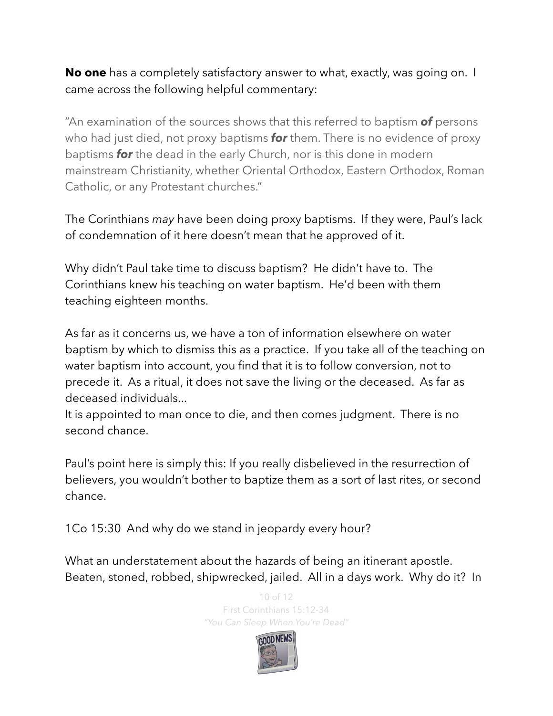**No one** has a completely satisfactory answer to what, exactly, was going on. I came across the following helpful commentary:

"An examination of the sources shows that this referred to baptism *of* persons who had just died, not proxy baptisms *for* them. There is no evidence of proxy baptisms *for* the dead in the early Church, nor is this done in modern [mainstream Christianity,](https://en.wikipedia.org/wiki/Mainstream_Christianity) whether [Oriental Orthodox,](https://en.wikipedia.org/wiki/Oriental_Orthodox) Eastern Orthodox, [Roman](https://en.wikipedia.org/wiki/Catholic_Church)  [Catholic,](https://en.wikipedia.org/wiki/Catholic_Church) or any [Protestant](https://en.wikipedia.org/wiki/Protestant) churches."

The Corinthians *may* have been doing proxy baptisms. If they were, Paul's lack of condemnation of it here doesn't mean that he approved of it.

Why didn't Paul take time to discuss baptism? He didn't have to. The Corinthians knew his teaching on water baptism. He'd been with them teaching eighteen months.

As far as it concerns us, we have a ton of information elsewhere on water baptism by which to dismiss this as a practice. If you take all of the teaching on water baptism into account, you find that it is to follow conversion, not to precede it. As a ritual, it does not save the living or the deceased. As far as deceased individuals...

It is appointed to man once to die, and then comes judgment. There is no second chance.

Paul's point here is simply this: If you really disbelieved in the resurrection of believers, you wouldn't bother to baptize them as a sort of last rites, or second chance.

1Co 15:30 And why do we stand in jeopardy every hour?

What an understatement about the hazards of being an itinerant apostle. Beaten, stoned, robbed, shipwrecked, jailed. All in a days work. Why do it? In

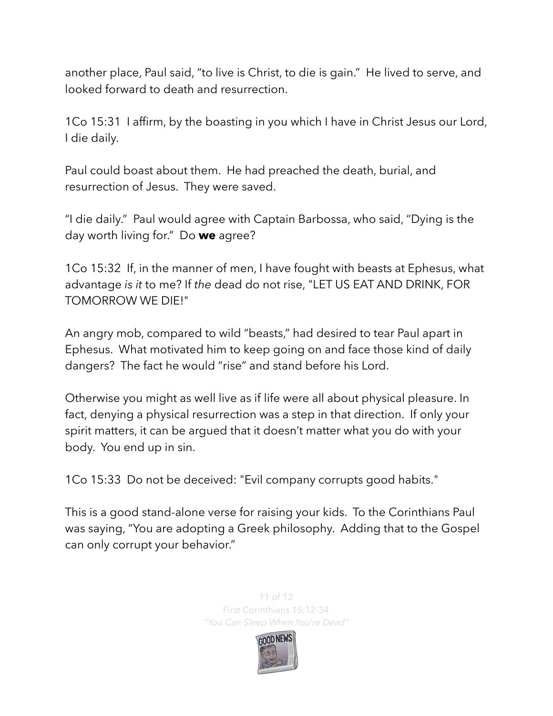another place, Paul said, "to live is Christ, to die is gain." He lived to serve, and looked forward to death and resurrection.

1Co 15:31 I affirm, by the boasting in you which I have in Christ Jesus our Lord, I die daily.

Paul could boast about them. He had preached the death, burial, and resurrection of Jesus. They were saved.

"I die daily." Paul would agree with Captain Barbossa, who said, "Dying is the day worth living for." Do **we** agree?

1Co 15:32 If, in the manner of men, I have fought with beasts at Ephesus, what advantage *is it* to me? If *the* dead do not rise, "LET US EAT AND DRINK, FOR TOMORROW WE DIE!"

An angry mob, compared to wild "beasts," had desired to tear Paul apart in Ephesus. What motivated him to keep going on and face those kind of daily dangers? The fact he would "rise" and stand before his Lord.

Otherwise you might as well live as if life were all about physical pleasure. In fact, denying a physical resurrection was a step in that direction. If only your spirit matters, it can be argued that it doesn't matter what you do with your body. You end up in sin.

1Co 15:33 Do not be deceived: "Evil company corrupts good habits."

This is a good stand-alone verse for raising your kids. To the Corinthians Paul was saying, "You are adopting a Greek philosophy. Adding that to the Gospel can only corrupt your behavior."